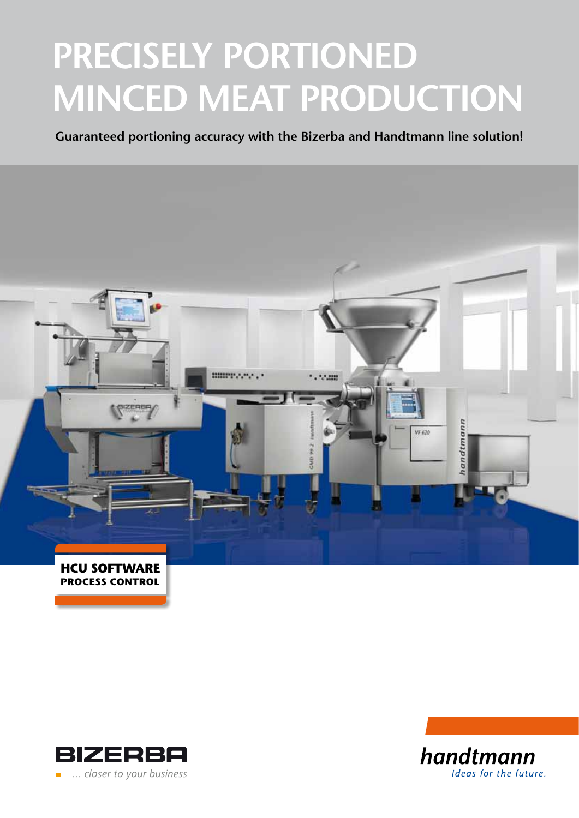# **PRECISELY PORTIONED MINCED MEAT PRODUCTION**

**Guaranteed portioning accuracy with the Bizerba and Handtmann line solution!**